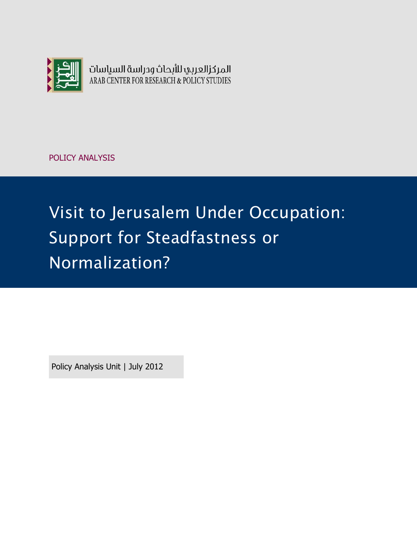

المركزالعربي للأبحاث ودراسة السياسات ARAB CENTER FOR RESEARCH & POLICY STUDIES

POLICY ANALYSIS

# Visit to Jerusalem Under Occupation: Support for Steadfastness or Normalization?

Policy Analysis Unit | July 2012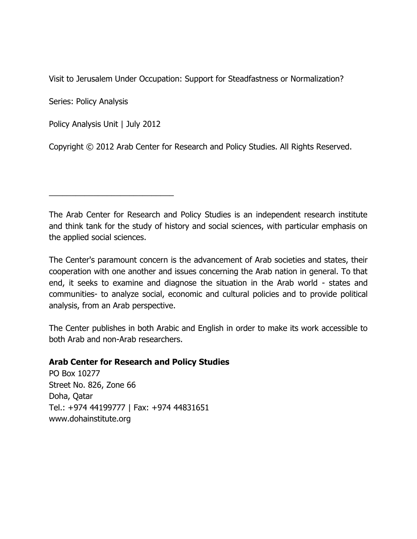Visit to Jerusalem Under Occupation: Support for Steadfastness or Normalization?

Series: Policy Analysis

Policy Analysis Unit | July 2012

\_\_\_\_\_\_\_\_\_\_\_\_\_\_\_\_\_\_\_\_\_\_\_\_\_\_\_\_

Copyright © 2012 Arab Center for Research and Policy Studies. All Rights Reserved.

The Arab Center for Research and Policy Studies is an independent research institute and think tank for the study of history and social sciences, with particular emphasis on the applied social sciences.

The Center's paramount concern is the advancement of Arab societies and states, their cooperation with one another and issues concerning the Arab nation in general. To that end, it seeks to examine and diagnose the situation in the Arab world - states and communities- to analyze social, economic and cultural policies and to provide political analysis, from an Arab perspective.

The Center publishes in both Arabic and English in order to make its work accessible to both Arab and non-Arab researchers.

#### **Arab Center for Research and Policy Studies**

PO Box 10277 Street No. 826, Zone 66 Doha, Qatar Tel.: +974 44199777 | Fax: +974 44831651 [www.dohainstitute.org](file:///C:/Users/dena.qaddumi/Desktop/www.dohainstitute.org)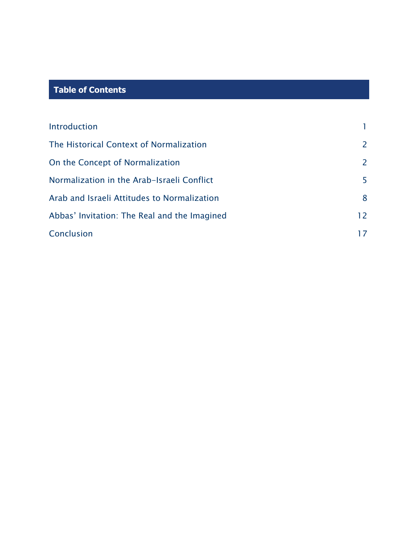## **Table of Contents**

| Introduction                                 |               |
|----------------------------------------------|---------------|
| The Historical Context of Normalization      | $\mathcal{P}$ |
| On the Concept of Normalization              | 2             |
| Normalization in the Arab-Israeli Conflict   | 5.            |
| Arab and Israeli Attitudes to Normalization  | 8             |
| Abbas' Invitation: The Real and the Imagined | 12            |
| Conclusion                                   |               |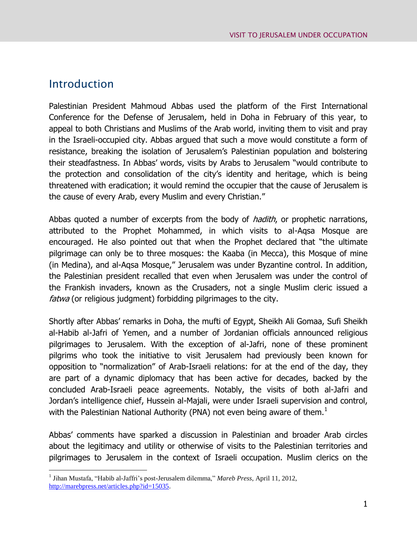### Introduction

 $\overline{a}$ 

Palestinian President Mahmoud Abbas used the platform of the First International Conference for the Defense of Jerusalem, held in Doha in February of this year, to appeal to both Christians and Muslims of the Arab world, inviting them to visit and pray in the Israeli-occupied city. Abbas argued that such a move would constitute a form of resistance, breaking the isolation of Jerusalem's Palestinian population and bolstering their steadfastness. In Abbas' words, visits by Arabs to Jerusalem "would contribute to the protection and consolidation of the city's identity and heritage, which is being threatened with eradication; it would remind the occupier that the cause of Jerusalem is the cause of every Arab, every Muslim and every Christian."

Abbas quoted a number of excerpts from the body of *hadith*, or prophetic narrations, attributed to the Prophet Mohammed, in which visits to al-Aqsa Mosque are encouraged. He also pointed out that when the Prophet declared that "the ultimate pilgrimage can only be to three mosques: the Kaaba (in Mecca), this Mosque of mine (in Medina), and al-Aqsa Mosque," Jerusalem was under Byzantine control. In addition, the Palestinian president recalled that even when Jerusalem was under the control of the Frankish invaders, known as the Crusaders, not a single Muslim cleric issued a fatwa (or religious judgment) forbidding pilgrimages to the city.

Shortly after Abbas' remarks in Doha, the mufti of Egypt, Sheikh Ali Gomaa, Sufi Sheikh al-Habib al-Jafri of Yemen, and a number of Jordanian officials announced religious pilgrimages to Jerusalem. With the exception of al-Jafri, none of these prominent pilgrims who took the initiative to visit Jerusalem had previously been known for opposition to "normalization" of Arab-Israeli relations: for at the end of the day, they are part of a dynamic diplomacy that has been active for decades, backed by the concluded Arab-Israeli peace agreements. Notably, the visits of both al-Jafri and Jordan's intelligence chief, Hussein al-Majali, were under Israeli supervision and control, with the Palestinian National Authority (PNA) not even being aware of them.<sup>1</sup>

Abbas' comments have sparked a discussion in Palestinian and broader Arab circles about the legitimacy and utility or otherwise of visits to the Palestinian territories and pilgrimages to Jerusalem in the context of Israeli occupation. Muslim clerics on the

<sup>1</sup> Jihan Mustafa, "Habib al-Jaffri's post-Jerusalem dilemma," *Mareb Press*, April 11, 2012, [http://marebpress.net/articles.php?id=15035.](http://marebpress.net/articles.php?id=15035)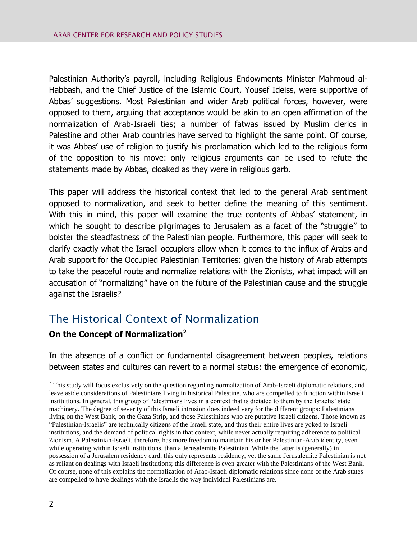Palestinian Authority's payroll, including Religious Endowments Minister Mahmoud al-Habbash, and the Chief Justice of the Islamic Court, Yousef Ideiss, were supportive of Abbas' suggestions. Most Palestinian and wider Arab political forces, however, were opposed to them, arguing that acceptance would be akin to an open affirmation of the normalization of Arab-Israeli ties; a number of fatwas issued by Muslim clerics in Palestine and other Arab countries have served to highlight the same point. Of course, it was Abbas' use of religion to justify his proclamation which led to the religious form of the opposition to his move: only religious arguments can be used to refute the statements made by Abbas, cloaked as they were in religious garb.

This paper will address the historical context that led to the general Arab sentiment opposed to normalization, and seek to better define the meaning of this sentiment. With this in mind, this paper will examine the true contents of Abbas' statement, in which he sought to describe pilgrimages to Jerusalem as a facet of the "struggle" to bolster the steadfastness of the Palestinian people. Furthermore, this paper will seek to clarify exactly what the Israeli occupiers allow when it comes to the influx of Arabs and Arab support for the Occupied Palestinian Territories: given the history of Arab attempts to take the peaceful route and normalize relations with the Zionists, what impact will an accusation of "normalizing" have on the future of the Palestinian cause and the struggle against the Israelis?

# The Historical Context of Normalization

#### **On the Concept of Normalization<sup>2</sup>**

In the absence of a conflict or fundamental disagreement between peoples, relations between states and cultures can revert to a normal status: the emergence of economic,

 $2$  This study will focus exclusively on the question regarding normalization of Arab-Israeli diplomatic relations, and leave aside considerations of Palestinians living in historical Palestine, who are compelled to function within Israeli institutions. In general, this group of Palestinians lives in a context that is dictated to them by the Israelis' state machinery. The degree of severity of this Israeli intrusion does indeed vary for the different groups: Palestinians living on the West Bank, on the Gaza Strip, and those Palestinians who are putative Israeli citizens. Those known as "Palestinian-Israelis" are technically citizens of the Israeli state, and thus their entire lives are yoked to Israeli institutions, and the demand of political rights in that context, while never actually requiring adherence to political Zionism. A Palestinian-Israeli, therefore, has more freedom to maintain his or her Palestinian-Arab identity, even while operating within Israeli institutions, than a Jerusalemite Palestinian. While the latter is (generally) in possession of a Jerusalem residency card, this only represents residency, yet the same Jerusalemite Palestinian is not as reliant on dealings with Israeli institutions; this difference is even greater with the Palestinians of the West Bank. Of course, none of this explains the normalization of Arab-Israeli diplomatic relations since none of the Arab states are compelled to have dealings with the Israelis the way individual Palestinians are.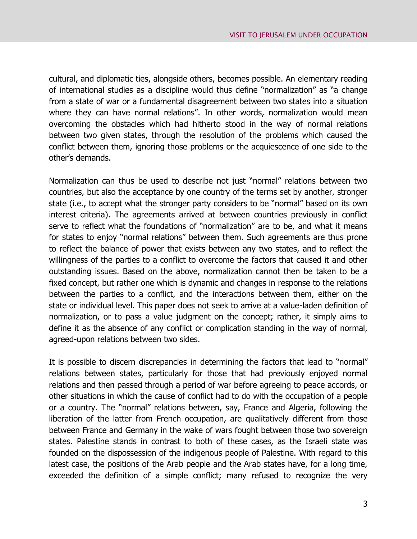cultural, and diplomatic ties, alongside others, becomes possible. An elementary reading of international studies as a discipline would thus define "normalization" as "a change from a state of war or a fundamental disagreement between two states into a situation where they can have normal relations". In other words, normalization would mean overcoming the obstacles which had hitherto stood in the way of normal relations between two given states, through the resolution of the problems which caused the conflict between them, ignoring those problems or the acquiescence of one side to the other's demands.

Normalization can thus be used to describe not just "normal" relations between two countries, but also the acceptance by one country of the terms set by another, stronger state (i.e., to accept what the stronger party considers to be "normal" based on its own interest criteria). The agreements arrived at between countries previously in conflict serve to reflect what the foundations of "normalization" are to be, and what it means for states to enjoy "normal relations" between them. Such agreements are thus prone to reflect the balance of power that exists between any two states, and to reflect the willingness of the parties to a conflict to overcome the factors that caused it and other outstanding issues. Based on the above, normalization cannot then be taken to be a fixed concept, but rather one which is dynamic and changes in response to the relations between the parties to a conflict, and the interactions between them, either on the state or individual level. This paper does not seek to arrive at a value-laden definition of normalization, or to pass a value judgment on the concept; rather, it simply aims to define it as the absence of any conflict or complication standing in the way of normal, agreed-upon relations between two sides.

It is possible to discern discrepancies in determining the factors that lead to "normal" relations between states, particularly for those that had previously enjoyed normal relations and then passed through a period of war before agreeing to peace accords, or other situations in which the cause of conflict had to do with the occupation of a people or a country. The "normal" relations between, say, France and Algeria, following the liberation of the latter from French occupation, are qualitatively different from those between France and Germany in the wake of wars fought between those two sovereign states. Palestine stands in contrast to both of these cases, as the Israeli state was founded on the dispossession of the indigenous people of Palestine. With regard to this latest case, the positions of the Arab people and the Arab states have, for a long time, exceeded the definition of a simple conflict; many refused to recognize the very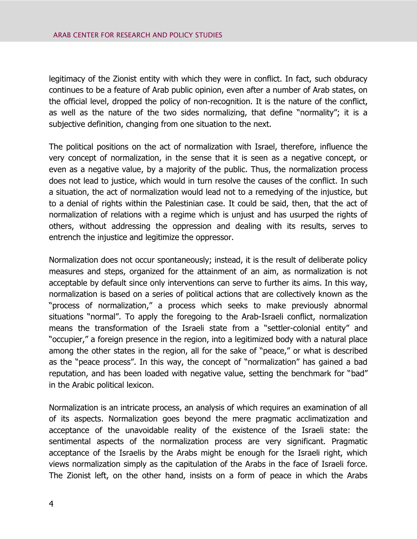legitimacy of the Zionist entity with which they were in conflict. In fact, such obduracy continues to be a feature of Arab public opinion, even after a number of Arab states, on the official level, dropped the policy of non-recognition. It is the nature of the conflict, as well as the nature of the two sides normalizing, that define "normality"; it is a subjective definition, changing from one situation to the next.

The political positions on the act of normalization with Israel, therefore, influence the very concept of normalization, in the sense that it is seen as a negative concept, or even as a negative value, by a majority of the public. Thus, the normalization process does not lead to justice, which would in turn resolve the causes of the conflict. In such a situation, the act of normalization would lead not to a remedying of the injustice, but to a denial of rights within the Palestinian case. It could be said, then, that the act of normalization of relations with a regime which is unjust and has usurped the rights of others, without addressing the oppression and dealing with its results, serves to entrench the injustice and legitimize the oppressor.

Normalization does not occur spontaneously; instead, it is the result of deliberate policy measures and steps, organized for the attainment of an aim, as normalization is not acceptable by default since only interventions can serve to further its aims. In this way, normalization is based on a series of political actions that are collectively known as the "process of normalization," a process which seeks to make previously abnormal situations "normal". To apply the foregoing to the Arab-Israeli conflict, normalization means the transformation of the Israeli state from a "settler-colonial entity" and "occupier," a foreign presence in the region, into a legitimized body with a natural place among the other states in the region, all for the sake of "peace," or what is described as the "peace process". In this way, the concept of "normalization" has gained a bad reputation, and has been loaded with negative value, setting the benchmark for "bad" in the Arabic political lexicon.

Normalization is an intricate process, an analysis of which requires an examination of all of its aspects. Normalization goes beyond the mere pragmatic acclimatization and acceptance of the unavoidable reality of the existence of the Israeli state: the sentimental aspects of the normalization process are very significant. Pragmatic acceptance of the Israelis by the Arabs might be enough for the Israeli right, which views normalization simply as the capitulation of the Arabs in the face of Israeli force. The Zionist left, on the other hand, insists on a form of peace in which the Arabs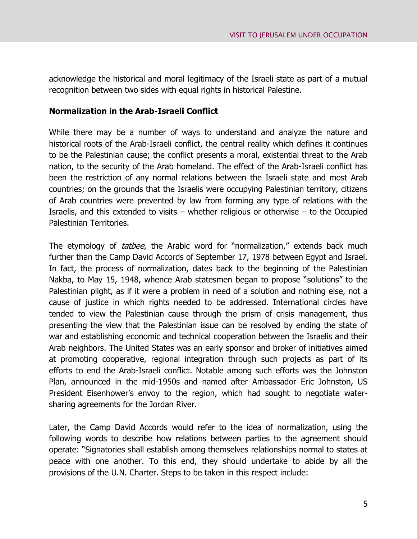acknowledge the historical and moral legitimacy of the Israeli state as part of a mutual recognition between two sides with equal rights in historical Palestine.

#### **Normalization in the Arab-Israeli Conflict**

While there may be a number of ways to understand and analyze the nature and historical roots of the Arab-Israeli conflict, the central reality which defines it continues to be the Palestinian cause; the conflict presents a moral, existential threat to the Arab nation, to the security of the Arab homeland. The effect of the Arab-Israeli conflict has been the restriction of any normal relations between the Israeli state and most Arab countries; on the grounds that the Israelis were occupying Palestinian territory, citizens of Arab countries were prevented by law from forming any type of relations with the Israelis, and this extended to visits – whether religious or otherwise – to the Occupied Palestinian Territories.

The etymology of *tatbee*, the Arabic word for "normalization," extends back much further than the Camp David Accords of September 17, 1978 between Egypt and Israel. In fact, the process of normalization, dates back to the beginning of the Palestinian Nakba, to May 15, 1948, whence Arab statesmen began to propose "solutions" to the Palestinian plight, as if it were a problem in need of a solution and nothing else, not a cause of justice in which rights needed to be addressed. International circles have tended to view the Palestinian cause through the prism of crisis management, thus presenting the view that the Palestinian issue can be resolved by ending the state of war and establishing economic and technical cooperation between the Israelis and their Arab neighbors. The United States was an early sponsor and broker of initiatives aimed at promoting cooperative, regional integration through such projects as part of its efforts to end the Arab-Israeli conflict. Notable among such efforts was the Johnston Plan, announced in the mid-1950s and named after Ambassador Eric Johnston, US President Eisenhower's envoy to the region, which had sought to negotiate watersharing agreements for the Jordan River.

Later, the Camp David Accords would refer to the idea of normalization, using the following words to describe how relations between parties to the agreement should operate: "Signatories shall establish among themselves relationships normal to states at peace with one another. To this end, they should undertake to abide by all the provisions of the U.N. Charter. Steps to be taken in this respect include: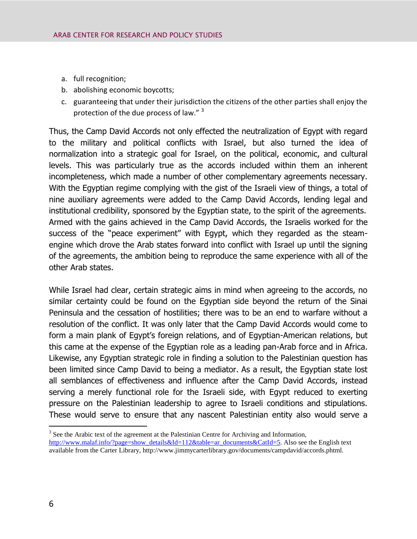- a. full recognition;
- b. abolishing economic boycotts;
- c. guaranteeing that under their jurisdiction the citizens of the other parties shall enjoy the protection of the due process of law." 3

Thus, the Camp David Accords not only effected the neutralization of Egypt with regard to the military and political conflicts with Israel, but also turned the idea of normalization into a strategic goal for Israel, on the political, economic, and cultural levels. This was particularly true as the accords included within them an inherent incompleteness, which made a number of other complementary agreements necessary. With the Egyptian regime complying with the gist of the Israeli view of things, a total of nine auxiliary agreements were added to the Camp David Accords, lending legal and institutional credibility, sponsored by the Egyptian state, to the spirit of the agreements. Armed with the gains achieved in the Camp David Accords, the Israelis worked for the success of the "peace experiment" with Egypt, which they regarded as the steamengine which drove the Arab states forward into conflict with Israel up until the signing of the agreements, the ambition being to reproduce the same experience with all of the other Arab states.

While Israel had clear, certain strategic aims in mind when agreeing to the accords, no similar certainty could be found on the Egyptian side beyond the return of the Sinai Peninsula and the cessation of hostilities; there was to be an end to warfare without a resolution of the conflict. It was only later that the Camp David Accords would come to form a main plank of Egypt's foreign relations, and of Egyptian-American relations, but this came at the expense of the Egyptian role as a leading pan-Arab force and in Africa. Likewise, any Egyptian strategic role in finding a solution to the Palestinian question has been limited since Camp David to being a mediator. As a result, the Egyptian state lost all semblances of effectiveness and influence after the Camp David Accords, instead serving a merely functional role for the Israeli side, with Egypt reduced to exerting pressure on the Palestinian leadership to agree to Israeli conditions and stipulations. These would serve to ensure that any nascent Palestinian entity also would serve a

<sup>&</sup>lt;sup>3</sup> See the Arabic text of the agreement at the Palestinian Centre for Archiving and Information, [http://www.malaf.info/?page=show\\_details&Id=112&table=ar\\_documents&CatId=5.](http://www.malaf.info/?page=show_details&Id=112&table=ar_documents&CatId=5) Also see the English text available from the Carter Library, http://www.jimmycarterlibrary.gov/documents/campdavid/accords.phtml.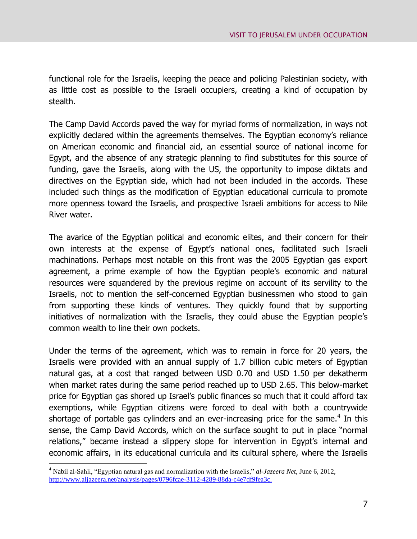functional role for the Israelis, keeping the peace and policing Palestinian society, with as little cost as possible to the Israeli occupiers, creating a kind of occupation by stealth.

The Camp David Accords paved the way for myriad forms of normalization, in ways not explicitly declared within the agreements themselves. The Egyptian economy's reliance on American economic and financial aid, an essential source of national income for Egypt, and the absence of any strategic planning to find substitutes for this source of funding, gave the Israelis, along with the US, the opportunity to impose diktats and directives on the Egyptian side, which had not been included in the accords. These included such things as the modification of Egyptian educational curricula to promote more openness toward the Israelis, and prospective Israeli ambitions for access to Nile River water.

The avarice of the Egyptian political and economic elites, and their concern for their own interests at the expense of Egypt's national ones, facilitated such Israeli machinations. Perhaps most notable on this front was the 2005 Egyptian gas export agreement, a prime example of how the Egyptian people's economic and natural resources were squandered by the previous regime on account of its servility to the Israelis, not to mention the self-concerned Egyptian businessmen who stood to gain from supporting these kinds of ventures. They quickly found that by supporting initiatives of normalization with the Israelis, they could abuse the Egyptian people's common wealth to line their own pockets.

Under the terms of the agreement, which was to remain in force for 20 years, the Israelis were provided with an annual supply of 1.7 billion cubic meters of Egyptian natural gas, at a cost that ranged between USD 0.70 and USD 1.50 per dekatherm when market rates during the same period reached up to USD 2.65. This below-market price for Egyptian gas shored up Israel's public finances so much that it could afford tax exemptions, while Egyptian citizens were forced to deal with both a countrywide shortage of portable gas cylinders and an ever-increasing price for the same. $4$  In this sense, the Camp David Accords, which on the surface sought to put in place "normal relations," became instead a slippery slope for intervention in Egypt's internal and economic affairs, in its educational curricula and its cultural sphere, where the Israelis

<sup>4</sup> Nabil al-Sahli, "Egyptian natural gas and normalization with the Israelis," *al-Jazeera Net*, June 6, 2012[,](http://www.aljazeera.net/analysis/pages/0796fcae-3112-4289-88da-c4e7df9fea3c)  [http://www.aljazeera.net/analysis/pages/0796fcae-3112-4289-88da-c4e7df9fea3c.](http://www.aljazeera.net/analysis/pages/0796fcae-3112-4289-88da-c4e7df9fea3c)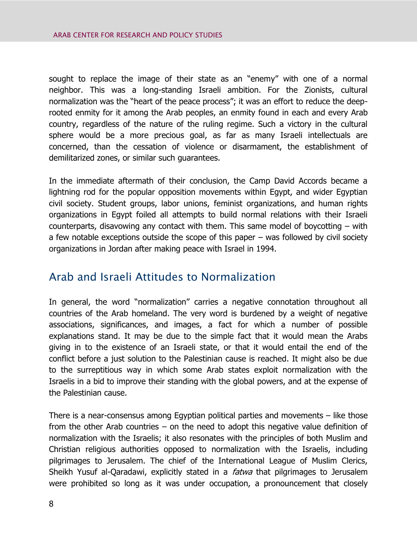sought to replace the image of their state as an "enemy" with one of a normal neighbor. This was a long-standing Israeli ambition. For the Zionists, cultural normalization was the "heart of the peace process"; it was an effort to reduce the deeprooted enmity for it among the Arab peoples, an enmity found in each and every Arab country, regardless of the nature of the ruling regime. Such a victory in the cultural sphere would be a more precious goal, as far as many Israeli intellectuals are concerned, than the cessation of violence or disarmament, the establishment of demilitarized zones, or similar such guarantees.

In the immediate aftermath of their conclusion, the Camp David Accords became a lightning rod for the popular opposition movements within Egypt, and wider Egyptian civil society. Student groups, labor unions, feminist organizations, and human rights organizations in Egypt foiled all attempts to build normal relations with their Israeli counterparts, disavowing any contact with them. This same model of boycotting – with a few notable exceptions outside the scope of this paper – was followed by civil society organizations in Jordan after making peace with Israel in 1994.

## Arab and Israeli Attitudes to Normalization

In general, the word "normalization" carries a negative connotation throughout all countries of the Arab homeland. The very word is burdened by a weight of negative associations, significances, and images, a fact for which a number of possible explanations stand. It may be due to the simple fact that it would mean the Arabs giving in to the existence of an Israeli state, or that it would entail the end of the conflict before a just solution to the Palestinian cause is reached. It might also be due to the surreptitious way in which some Arab states exploit normalization with the Israelis in a bid to improve their standing with the global powers, and at the expense of the Palestinian cause.

There is a near-consensus among Egyptian political parties and movements – like those from the other Arab countries – on the need to adopt this negative value definition of normalization with the Israelis; it also resonates with the principles of both Muslim and Christian religious authorities opposed to normalization with the Israelis, including pilgrimages to Jerusalem. The chief of the International League of Muslim Clerics, Sheikh Yusuf al-Qaradawi, explicitly stated in a *fatwa* that pilgrimages to Jerusalem were prohibited so long as it was under occupation, a pronouncement that closely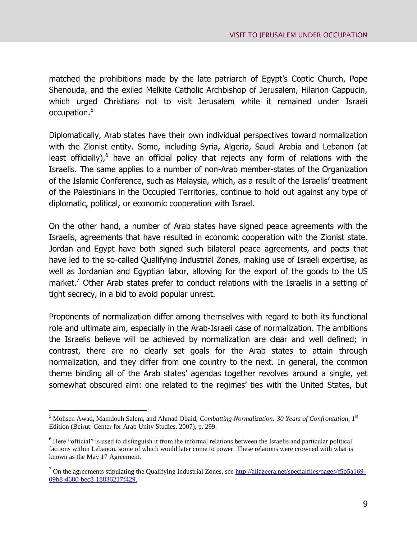matched the prohibitions made by the late patriarch of Egypt's Coptic Church, Pope Shenouda, and the exiled Melkite Catholic Archbishop of Jerusalem, Hilarion Cappucin, which urged Christians not to visit Jerusalem while it remained under Israeli occupation.<sup>5</sup>

Diplomatically, Arab states have their own individual perspectives toward normalization with the Zionist entity. Some, including Syria, Algeria, Saudi Arabia and Lebanon (at least officially),<sup>6</sup> have an official policy that rejects any form of relations with the Israelis. The same applies to a number of non-Arab member-states of the Organization of the Islamic Conference, such as Malaysia, which, as a result of the Israelis' treatment of the Palestinians in the Occupied Territories, continue to hold out against any type of diplomatic, political, or economic cooperation with Israel.

On the other hand, a number of Arab states have signed peace agreements with the Israelis, agreements that have resulted in economic cooperation with the Zionist state. Jordan and Egypt have both signed such bilateral peace agreements, and pacts that have led to the so-called Qualifying Industrial Zones, making use of Israeli expertise, as well as Jordanian and Egyptian labor, allowing for the export of the goods to the US market.<sup>7</sup> Other Arab states prefer to conduct relations with the Israelis in a setting of tight secrecy, in a bid to avoid popular unrest.

Proponents of normalization differ among themselves with regard to both its functional role and ultimate aim, especially in the Arab-Israeli case of normalization. The ambitions the Israelis believe will be achieved by normalization are clear and well defined; in contrast, there are no clearly set goals for the Arab states to attain through normalization, and they differ from one country to the next. In general, the common theme binding all of the Arab states' agendas together revolves around a single, yet somewhat obscured aim: one related to the regimes' ties with the United States, but

<sup>&</sup>lt;sup>5</sup> Mohsen Awad, Mamdouh Salem, and Ahmad Obaid, *Combatting Normalization: 30 Years of Confrontation*, 1<sup>st</sup> Edition (Beirut: Center for Arab Unity Studies, 2007), p. 299.

<sup>6</sup> Here "official" is used to distinguish it from the informal relations between the Israelis and particular political factions within Lebanon, some of which would later come to power. These relations were crowned with what is known as the May 17 Agreement.

 $<sup>7</sup>$  On the agreements stipulating the Qualifying Industrial Zones, see [http://aljazeera.net/specialfiles/pages/f5b5a169-](http://aljazeera.net/specialfiles/pages/f5b5a169-09b8-4680-bec8-18836217f429)</sup> [09b8-4680-bec8-18836217f429.](http://aljazeera.net/specialfiles/pages/f5b5a169-09b8-4680-bec8-18836217f429)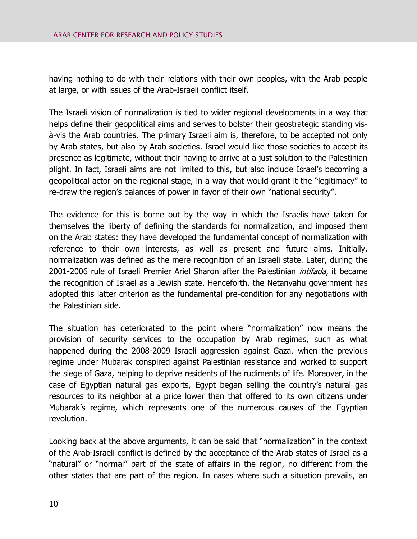having nothing to do with their relations with their own peoples, with the Arab people at large, or with issues of the Arab-Israeli conflict itself.

The Israeli vision of normalization is tied to wider regional developments in a way that helps define their geopolitical aims and serves to bolster their geostrategic standing visà-vis the Arab countries. The primary Israeli aim is, therefore, to be accepted not only by Arab states, but also by Arab societies. Israel would like those societies to accept its presence as legitimate, without their having to arrive at a just solution to the Palestinian plight. In fact, Israeli aims are not limited to this, but also include Israel's becoming a geopolitical actor on the regional stage, in a way that would grant it the "legitimacy" to re-draw the region's balances of power in favor of their own "national security".

The evidence for this is borne out by the way in which the Israelis have taken for themselves the liberty of defining the standards for normalization, and imposed them on the Arab states: they have developed the fundamental concept of normalization with reference to their own interests, as well as present and future aims. Initially, normalization was defined as the mere recognition of an Israeli state. Later, during the 2001-2006 rule of Israeli Premier Ariel Sharon after the Palestinian *intifada*, it became the recognition of Israel as a Jewish state. Henceforth, the Netanyahu government has adopted this latter criterion as the fundamental pre-condition for any negotiations with the Palestinian side.

The situation has deteriorated to the point where "normalization" now means the provision of security services to the occupation by Arab regimes, such as what happened during the 2008-2009 Israeli aggression against Gaza, when the previous regime under Mubarak conspired against Palestinian resistance and worked to support the siege of Gaza, helping to deprive residents of the rudiments of life. Moreover, in the case of Egyptian natural gas exports, Egypt began selling the country's natural gas resources to its neighbor at a price lower than that offered to its own citizens under Mubarak's regime, which represents one of the numerous causes of the Egyptian revolution.

Looking back at the above arguments, it can be said that "normalization" in the context of the Arab-Israeli conflict is defined by the acceptance of the Arab states of Israel as a "natural" or "normal" part of the state of affairs in the region, no different from the other states that are part of the region. In cases where such a situation prevails, an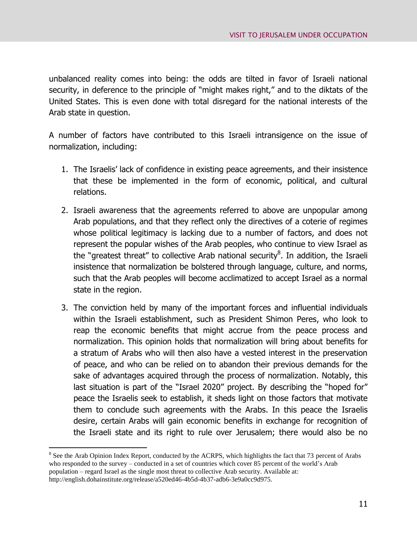unbalanced reality comes into being: the odds are tilted in favor of Israeli national security, in deference to the principle of "might makes right," and to the diktats of the United States. This is even done with total disregard for the national interests of the Arab state in question.

A number of factors have contributed to this Israeli intransigence on the issue of normalization, including:

- 1. The Israelis' lack of confidence in existing peace agreements, and their insistence that these be implemented in the form of economic, political, and cultural relations.
- 2. Israeli awareness that the agreements referred to above are unpopular among Arab populations, and that they reflect only the directives of a coterie of regimes whose political legitimacy is lacking due to a number of factors, and does not represent the popular wishes of the Arab peoples, who continue to view Israel as the "greatest threat" to collective Arab national security<sup>8</sup>. In addition, the Israeli insistence that normalization be bolstered through language, culture, and norms, such that the Arab peoples will become acclimatized to accept Israel as a normal state in the region.
- 3. The conviction held by many of the important forces and influential individuals within the Israeli establishment, such as President Shimon Peres, who look to reap the economic benefits that might accrue from the peace process and normalization. This opinion holds that normalization will bring about benefits for a stratum of Arabs who will then also have a vested interest in the preservation of peace, and who can be relied on to abandon their previous demands for the sake of advantages acquired through the process of normalization. Notably, this last situation is part of the "Israel 2020" project. By describing the "hoped for" peace the Israelis seek to establish, it sheds light on those factors that motivate them to conclude such agreements with the Arabs. In this peace the Israelis desire, certain Arabs will gain economic benefits in exchange for recognition of the Israeli state and its right to rule over Jerusalem; there would also be no

<sup>&</sup>lt;sup>8</sup> See the Arab Opinion Index Report, conducted by the ACRPS, which highlights the fact that 73 percent of Arabs who responded to the survey – conducted in a set of countries which cover 85 percent of the world's Arab population – regard Israel as the single most threat to collective Arab security. Available at: http://english.dohainstitute.org/release/a520ed46-4b5d-4b37-adb6-3e9a0cc9d975.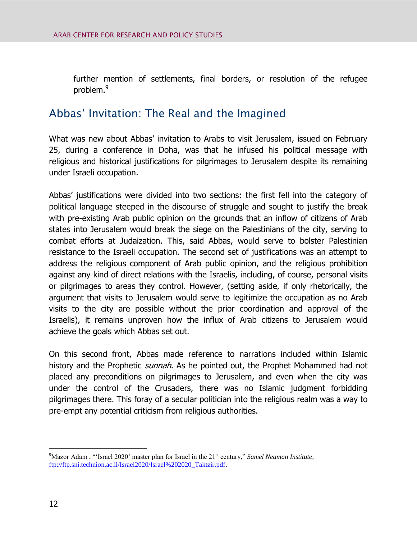further mention of settlements, final borders, or resolution of the refugee problem.<sup>9</sup>

## Abbas' Invitation: The Real and the Imagined

What was new about Abbas' invitation to Arabs to visit Jerusalem, issued on February 25, during a conference in Doha, was that he infused his political message with religious and historical justifications for pilgrimages to Jerusalem despite its remaining under Israeli occupation.

Abbas' justifications were divided into two sections: the first fell into the category of political language steeped in the discourse of struggle and sought to justify the break with pre-existing Arab public opinion on the grounds that an inflow of citizens of Arab states into Jerusalem would break the siege on the Palestinians of the city, serving to combat efforts at Judaization. This, said Abbas, would serve to bolster Palestinian resistance to the Israeli occupation. The second set of justifications was an attempt to address the religious component of Arab public opinion, and the religious prohibition against any kind of direct relations with the Israelis, including, of course, personal visits or pilgrimages to areas they control. However, (setting aside, if only rhetorically, the argument that visits to Jerusalem would serve to legitimize the occupation as no Arab visits to the city are possible without the prior coordination and approval of the Israelis), it remains unproven how the influx of Arab citizens to Jerusalem would achieve the goals which Abbas set out.

On this second front, Abbas made reference to narrations included within Islamic history and the Prophetic *sunnah*. As he pointed out, the Prophet Mohammed had not placed any preconditions on pilgrimages to Jerusalem, and even when the city was under the control of the Crusaders, there was no Islamic judgment forbidding pilgrimages there. This foray of a secular politician into the religious realm was a way to pre-empt any potential criticism from religious authorities.

 $9^9$ Mazor Adam, "'Israel 2020' master plan for Israel in the 21<sup>st</sup> century," *Samel Neaman Institute*, [ftp://ftp.sni.technion.ac.il/Israel2020/Israel%202020\\_Taktzir.pdf.](ftp://ftp.sni.technion.ac.il/Israel2020/Israel 2020_Taktzir.pdf)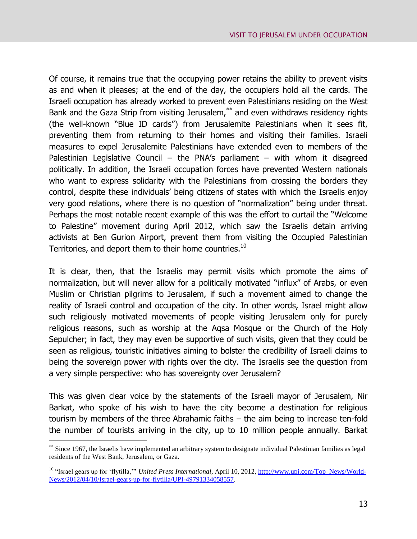Of course, it remains true that the occupying power retains the ability to prevent visits as and when it pleases; at the end of the day, the occupiers hold all the cards. The Israeli occupation has already worked to prevent even Palestinians residing on the West Bank and the Gaza Strip from visiting Jerusalem,<sup>\*\*</sup> and even withdraws residency rights (the well-known "Blue ID cards") from Jerusalemite Palestinians when it sees fit, preventing them from returning to their homes and visiting their families. Israeli measures to expel Jerusalemite Palestinians have extended even to members of the Palestinian Legislative Council – the PNA's parliament – with whom it disagreed politically. In addition, the Israeli occupation forces have prevented Western nationals who want to express solidarity with the Palestinians from crossing the borders they control, despite these individuals' being citizens of states with which the Israelis enjoy very good relations, where there is no question of "normalization" being under threat. Perhaps the most notable recent example of this was the effort to curtail the "Welcome to Palestine" movement during April 2012, which saw the Israelis detain arriving activists at Ben Gurion Airport, prevent them from visiting the Occupied Palestinian Territories, and deport them to their home countries.<sup>10</sup>

It is clear, then, that the Israelis may permit visits which promote the aims of normalization, but will never allow for a politically motivated "influx" of Arabs, or even Muslim or Christian pilgrims to Jerusalem, if such a movement aimed to change the reality of Israeli control and occupation of the city. In other words, Israel might allow such religiously motivated movements of people visiting Jerusalem only for purely religious reasons, such as worship at the Aqsa Mosque or the Church of the Holy Sepulcher; in fact, they may even be supportive of such visits, given that they could be seen as religious, touristic initiatives aiming to bolster the credibility of Israeli claims to being the sovereign power with rights over the city. The Israelis see the question from a very simple perspective: who has sovereignty over Jerusalem?

This was given clear voice by the statements of the Israeli mayor of Jerusalem, Nir Barkat, who spoke of his wish to have the city become a destination for religious tourism by members of the three Abrahamic faiths – the aim being to increase ten-fold the number of tourists arriving in the city, up to 10 million people annually. Barkat

<sup>\*\*</sup> Since 1967, the Israelis have implemented an arbitrary system to designate individual Palestinian families as legal residents of the West Bank, Jerusalem, or Gaza.

<sup>&</sup>lt;sup>10</sup> "Israel gears up for 'flytilla," *United Press International*, April 10, 2012, [http://www.upi.com/Top\\_News/World-](http://www.upi.com/Top_News/World-News/2012/04/10/Israel-gears-up-for-flytilla/UPI-49791334058557)[News/2012/04/10/Israel-gears-up-for-flytilla/UPI-49791334058557.](http://www.upi.com/Top_News/World-News/2012/04/10/Israel-gears-up-for-flytilla/UPI-49791334058557)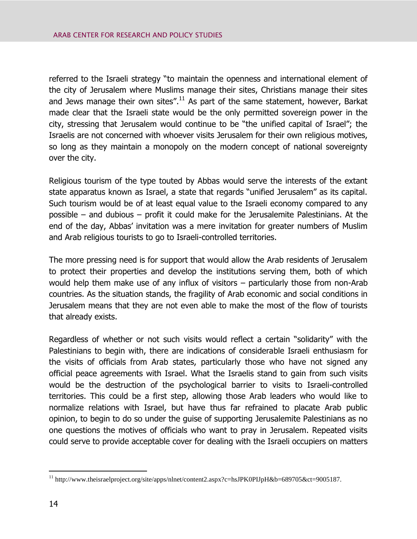referred to the Israeli strategy "to maintain the openness and international element of the city of Jerusalem where Muslims manage their sites, Christians manage their sites and Jews manage their own sites". $^{11}$  As part of the same statement, however, Barkat made clear that the Israeli state would be the only permitted sovereign power in the city, stressing that Jerusalem would continue to be "the unified capital of Israel"; the Israelis are not concerned with whoever visits Jerusalem for their own religious motives, so long as they maintain a monopoly on the modern concept of national sovereignty over the city.

Religious tourism of the type touted by Abbas would serve the interests of the extant state apparatus known as Israel, a state that regards "unified Jerusalem" as its capital. Such tourism would be of at least equal value to the Israeli economy compared to any possible – and dubious – profit it could make for the Jerusalemite Palestinians. At the end of the day, Abbas' invitation was a mere invitation for greater numbers of Muslim and Arab religious tourists to go to Israeli-controlled territories.

The more pressing need is for support that would allow the Arab residents of Jerusalem to protect their properties and develop the institutions serving them, both of which would help them make use of any influx of visitors – particularly those from non-Arab countries. As the situation stands, the fragility of Arab economic and social conditions in Jerusalem means that they are not even able to make the most of the flow of tourists that already exists.

Regardless of whether or not such visits would reflect a certain "solidarity" with the Palestinians to begin with, there are indications of considerable Israeli enthusiasm for the visits of officials from Arab states, particularly those who have not signed any official peace agreements with Israel. What the Israelis stand to gain from such visits would be the destruction of the psychological barrier to visits to Israeli-controlled territories. This could be a first step, allowing those Arab leaders who would like to normalize relations with Israel, but have thus far refrained to placate Arab public opinion, to begin to do so under the guise of supporting Jerusalemite Palestinians as no one questions the motives of officials who want to pray in Jerusalem. Repeated visits could serve to provide acceptable cover for dealing with the Israeli occupiers on matters

<sup>&</sup>lt;sup>11</sup> http://www.theisraelproject.org/site/apps/nlnet/content2.aspx?c=hsJPK0PIJpH&b=689705&ct=9005187.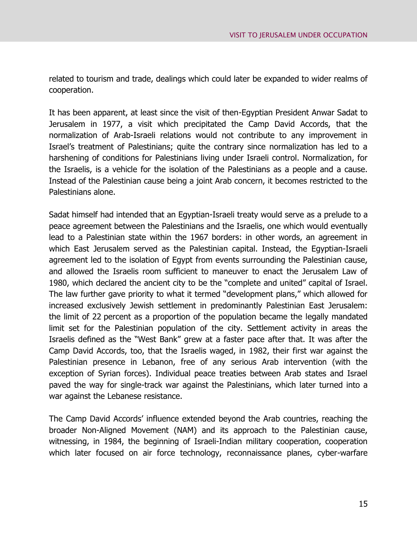related to tourism and trade, dealings which could later be expanded to wider realms of cooperation.

It has been apparent, at least since the visit of then-Egyptian President Anwar Sadat to Jerusalem in 1977, a visit which precipitated the Camp David Accords, that the normalization of Arab-Israeli relations would not contribute to any improvement in Israel's treatment of Palestinians; quite the contrary since normalization has led to a harshening of conditions for Palestinians living under Israeli control. Normalization, for the Israelis, is a vehicle for the isolation of the Palestinians as a people and a cause. Instead of the Palestinian cause being a joint Arab concern, it becomes restricted to the Palestinians alone.

Sadat himself had intended that an Egyptian-Israeli treaty would serve as a prelude to a peace agreement between the Palestinians and the Israelis, one which would eventually lead to a Palestinian state within the 1967 borders: in other words, an agreement in which East Jerusalem served as the Palestinian capital. Instead, the Egyptian-Israeli agreement led to the isolation of Egypt from events surrounding the Palestinian cause, and allowed the Israelis room sufficient to maneuver to enact the Jerusalem Law of 1980, which declared the ancient city to be the "complete and united" capital of Israel. The law further gave priority to what it termed "development plans," which allowed for increased exclusively Jewish settlement in predominantly Palestinian East Jerusalem: the limit of 22 percent as a proportion of the population became the legally mandated limit set for the Palestinian population of the city. Settlement activity in areas the Israelis defined as the "West Bank" grew at a faster pace after that. It was after the Camp David Accords, too, that the Israelis waged, in 1982, their first war against the Palestinian presence in Lebanon, free of any serious Arab intervention (with the exception of Syrian forces). Individual peace treaties between Arab states and Israel paved the way for single-track war against the Palestinians, which later turned into a war against the Lebanese resistance.

The Camp David Accords' influence extended beyond the Arab countries, reaching the broader Non-Aligned Movement (NAM) and its approach to the Palestinian cause, witnessing, in 1984, the beginning of Israeli-Indian military cooperation, cooperation which later focused on air force technology, reconnaissance planes, cyber-warfare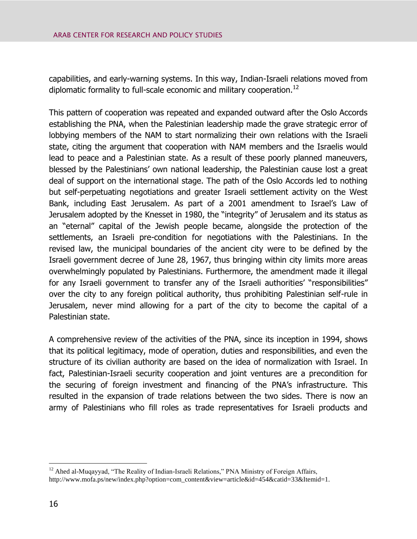capabilities, and early-warning systems. In this way, Indian-Israeli relations moved from diplomatic formality to full-scale economic and military cooperation.<sup>12</sup>

This pattern of cooperation was repeated and expanded outward after the Oslo Accords establishing the PNA, when the Palestinian leadership made the grave strategic error of lobbying members of the NAM to start normalizing their own relations with the Israeli state, citing the argument that cooperation with NAM members and the Israelis would lead to peace and a Palestinian state. As a result of these poorly planned maneuvers, blessed by the Palestinians' own national leadership, the Palestinian cause lost a great deal of support on the international stage. The path of the Oslo Accords led to nothing but self-perpetuating negotiations and greater Israeli settlement activity on the West Bank, including East Jerusalem. As part of a 2001 amendment to Israel's Law of Jerusalem adopted by the Knesset in 1980, the "integrity" of Jerusalem and its status as an "eternal" capital of the Jewish people became, alongside the protection of the settlements, an Israeli pre-condition for negotiations with the Palestinians. In the revised law, the municipal boundaries of the ancient city were to be defined by the Israeli government decree of June 28, 1967, thus bringing within city limits more areas overwhelmingly populated by Palestinians. Furthermore, the amendment made it illegal for any Israeli government to transfer any of the Israeli authorities' "responsibilities" over the city to any foreign political authority, thus prohibiting Palestinian self-rule in Jerusalem, never mind allowing for a part of the city to become the capital of a Palestinian state.

A comprehensive review of the activities of the PNA, since its inception in 1994, shows that its political legitimacy, mode of operation, duties and responsibilities, and even the structure of its civilian authority are based on the idea of normalization with Israel. In fact, Palestinian-Israeli security cooperation and joint ventures are a precondition for the securing of foreign investment and financing of the PNA's infrastructure. This resulted in the expansion of trade relations between the two sides. There is now an army of Palestinians who fill roles as trade representatives for Israeli products and

 $\overline{a}$ <sup>12</sup> Ahed al-Muqayyad, "The Reality of Indian-Israeli Relations," PNA Ministry of Foreign Affairs, http://www.mofa.ps/new/index.php?option=com\_content&view=article&id=454&catid=33&Itemid=1.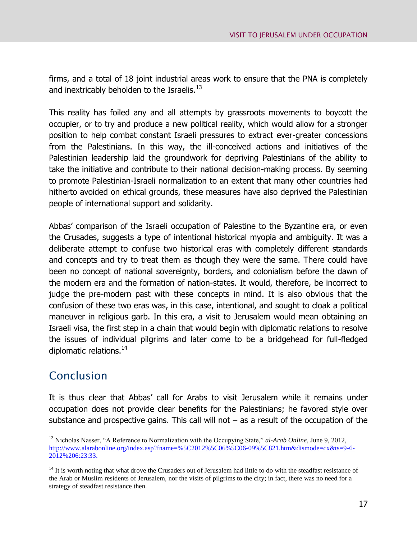firms, and a total of 18 joint industrial areas work to ensure that the PNA is completely and inextricably beholden to the Israelis. $^{13}$ 

This reality has foiled any and all attempts by grassroots movements to boycott the occupier, or to try and produce a new political reality, which would allow for a stronger position to help combat constant Israeli pressures to extract ever-greater concessions from the Palestinians. In this way, the ill-conceived actions and initiatives of the Palestinian leadership laid the groundwork for depriving Palestinians of the ability to take the initiative and contribute to their national decision-making process. By seeming to promote Palestinian-Israeli normalization to an extent that many other countries had hitherto avoided on ethical grounds, these measures have also deprived the Palestinian people of international support and solidarity.

Abbas' comparison of the Israeli occupation of Palestine to the Byzantine era, or even the Crusades, suggests a type of intentional historical myopia and ambiguity. It was a deliberate attempt to confuse two historical eras with completely different standards and concepts and try to treat them as though they were the same. There could have been no concept of national sovereignty, borders, and colonialism before the dawn of the modern era and the formation of nation-states. It would, therefore, be incorrect to judge the pre-modern past with these concepts in mind. It is also obvious that the confusion of these two eras was, in this case, intentional, and sought to cloak a political maneuver in religious garb. In this era, a visit to Jerusalem would mean obtaining an Israeli visa, the first step in a chain that would begin with diplomatic relations to resolve the issues of individual pilgrims and later come to be a bridgehead for full-fledged diplomatic relations.<sup>14</sup>

## Conclusion

 $\overline{a}$ 

It is thus clear that Abbas' call for Arabs to visit Jerusalem while it remains under occupation does not provide clear benefits for the Palestinians; he favored style over substance and prospective gains. This call will not  $-$  as a result of the occupation of the

<sup>&</sup>lt;sup>13</sup> Nicholas Nasser, "A Reference to Normalization with the Occupying State," al-Arab Online, June 9, 2012, [http://www.alarabonline.org/index.asp?fname=%5C2012%5C06%5C06-09%5C821.htm&dismode=cx&ts=9-6-](http://www.alarabonline.org/index.asp?fname=%5C2012%5C06%5C06-09%5C821.htm&dismode=cx&ts=9-6-2012%206:23:33) [2012%206:23:33.](http://www.alarabonline.org/index.asp?fname=%5C2012%5C06%5C06-09%5C821.htm&dismode=cx&ts=9-6-2012%206:23:33)

 $<sup>14</sup>$  It is worth noting that what drove the Crusaders out of Jerusalem had little to do with the steadfast resistance of</sup> the Arab or Muslim residents of Jerusalem, nor the visits of pilgrims to the city; in fact, there was no need for a strategy of steadfast resistance then.